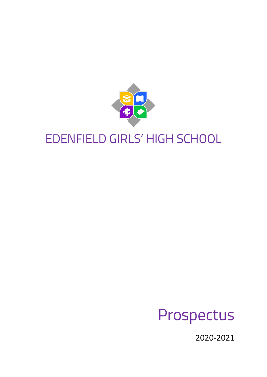

# EDENFIELD GIRLS' HIGH SCHOOL

# Prospectus

2020-2021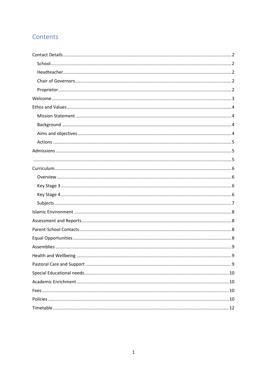# Contents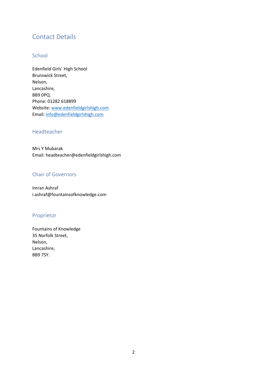# <span id="page-2-0"></span>Contact Details

#### <span id="page-2-1"></span>**School**

Edenfield Girls' High School Brunswick Street, Nelson, Lancashire, BB9 0PQ. Phone: 01282 618899 Website[: www.edenfieldgirlshigh.com](http://www.edenfieldgirlshigh.com/) Email: [info@edenfieldgirlshigh.com](mailto:info@edenfieldgirlshigh.com)

#### <span id="page-2-2"></span>Headteacher

Mrs Y Mubarak Email: headteacher@edenfieldgirlshigh.com

#### <span id="page-2-3"></span>Chair of Governors

Imran Ashraf i.ashraf@fountainsofknowledge.com

#### <span id="page-2-4"></span>Proprietor

Fountains of Knowledge 35 Norfolk Street, Nelson, Lancashire, BB9 7SY.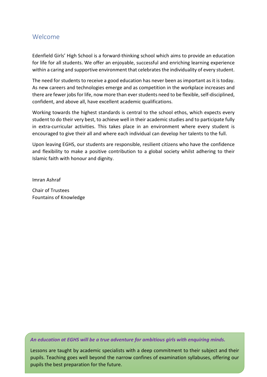#### <span id="page-3-0"></span>Welcome

Edenfield Girls' High School is a forward-thinking school which aims to provide an education for life for all students. We offer an enjoyable, successful and enriching learning experience within a caring and supportive environment that celebrates the individuality of every student.

The need for students to receive a good education has never been as important as it is today. As new careers and technologies emerge and as competition in the workplace increases and there are fewer jobs for life, now more than ever students need to be flexible, self-disciplined, confident, and above all, have excellent academic qualifications.

Working towards the highest standards is central to the school ethos, which expects every student to do their very best, to achieve well in their academic studies and to participate fully in extra-curricular activities. This takes place in an environment where every student is encouraged to give their all and where each individual can develop her talents to the full.

Upon leaving EGHS, our students are responsible, resilient citizens who have the confidence and flexibility to make a positive contribution to a global society whilst adhering to their Islamic faith with honour and dignity.

Imran Ashraf

Chair of Trustees Fountains of Knowledge

*An education at EGHS will be a true adventure for ambitious girls with enquiring minds.*

Lessons are taught by academic specialists with a deep commitment to their subject and their pupils. Teaching goes well beyond the narrow confines of examination syllabuses, offering our pupils the best preparation for the future.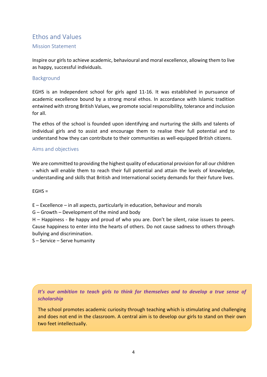# <span id="page-4-0"></span>Ethos and Values

<span id="page-4-1"></span>Mission Statement

Inspire our girls to achieve academic, behavioural and moral excellence, allowing them to live as happy, successful individuals.

#### <span id="page-4-2"></span>**Background**

EGHS is an Independent school for girls aged 11-16. It was established in pursuance of academic excellence bound by a strong moral ethos. In accordance with Islamic tradition entwined with strong British Values, we promote social responsibility, tolerance and inclusion for all.

The ethos of the school is founded upon identifying and nurturing the skills and talents of individual girls and to assist and encourage them to realise their full potential and to understand how they can contribute to their communities as well-equipped British citizens.

#### <span id="page-4-3"></span>Aims and objectives

We are committed to providing the highest quality of educational provision for all our children - which will enable them to reach their full potential and attain the levels of knowledge, understanding and skills that British and International society demands for their future lives.

#### $EGHS =$

E – Excellence – in all aspects, particularly in education, behaviour and morals

G – Growth – Development of the mind and body

H – Happiness - Be happy and proud of who you are. Don't be silent, raise issues to peers. Cause happiness to enter into the hearts of others. Do not cause sadness to others through bullying and discrimination.

S – Service – Serve humanity

*It's our ambition to teach girls to think for themselves and to develop a true sense of scholarship*

The school promotes academic curiosity through teaching which is stimulating and challenging and does not end in the classroom. A central aim is to develop our girls to stand on their own two feet intellectually.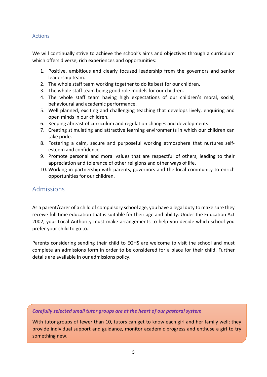#### <span id="page-5-0"></span>Actions

We will continually strive to achieve the school's aims and objectives through a curriculum which offers diverse, rich experiences and opportunities:

- 1. Positive, ambitious and clearly focused leadership from the governors and senior leadership team.
- 2. The whole staff team working together to do its best for our children.
- 3. The whole staff team being good role models for our children.
- 4. The whole staff team having high expectations of our children's moral, social, behavioural and academic performance.
- 5. Well planned, exciting and challenging teaching that develops lively, enquiring and open minds in our children.
- 6. Keeping abreast of curriculum and regulation changes and developments.
- 7. Creating stimulating and attractive learning environments in which our children can take pride.
- 8. Fostering a calm, secure and purposeful working atmosphere that nurtures selfesteem and confidence.
- 9. Promote personal and moral values that are respectful of others, leading to their appreciation and tolerance of other religions and other ways of life.
- 10. Working in partnership with parents, governors and the local community to enrich opportunities for our children.

## <span id="page-5-1"></span>Admissions

As a parent/carer of a child of compulsory school age, you have a legal duty to make sure they receive full time education that is suitable for their age and ability. Under the Education Act 2002, your Local Authority must make arrangements to help you decide which school you prefer your child to go to.

Parents considering sending their child to EGHS are welcome to visit the school and must complete an admissions form in order to be considered for a place for their child. Further details are available in our admissions policy.

#### <span id="page-5-2"></span>*Carefully selected small tutor groups are at the heart of our pastoral system*

With tutor groups of fewer than 10, tutors can get to know each girl and her family well; they provide individual support and guidance, monitor academic progress and enthuse a girl to try something new.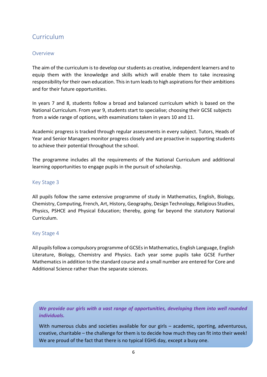# <span id="page-6-0"></span>Curriculum

#### <span id="page-6-1"></span>Overview

The aim of the curriculum is to develop our students as creative, independent learners and to equip them with the knowledge and skills which will enable them to take increasing responsibility for their own education. This in turn leads to high aspirations for their ambitions and for their future opportunities.

In years 7 and 8, students follow a broad and balanced curriculum which is based on the National Curriculum. From year 9, students start to specialise; choosing their GCSE subjects from a wide range of options, with examinations taken in years 10 and 11.

Academic progress is tracked through regular assessments in every subject. Tutors, Heads of Year and Senior Managers monitor progress closely and are proactive in supporting students to achieve their potential throughout the school.

The programme includes all the requirements of the National Curriculum and additional learning opportunities to engage pupils in the pursuit of scholarship.

#### <span id="page-6-2"></span>Key Stage 3

All pupils follow the same extensive programme of study in Mathematics, English, Biology, Chemistry, Computing, French, Art, History, Geography, Design Technology, Religious Studies, Physics, PSHCE and Physical Education; thereby, going far beyond the statutory National Curriculum.

#### <span id="page-6-3"></span>Key Stage 4

All pupils follow a compulsory programme of GCSEs in Mathematics, English Language, English Literature, Biology, Chemistry and Physics. Each year some pupils take GCSE Further Mathematics in addition to the standard course and a small number are entered for Core and Additional Science rather than the separate sciences.

*We provide our girls with a vast range of opportunities, developing them into well rounded individuals.*

With numerous clubs and societies available for our girls – academic, sporting, adventurous, creative, charitable – the challenge for them is to decide how much they can fit into their week! We are proud of the fact that there is no typical EGHS day, except a busy one.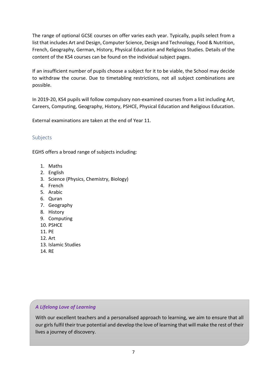The range of optional GCSE courses on offer varies each year. Typically, pupils select from a list that includes Art and Design, Computer Science, Design and Technology, Food & Nutrition, French, Geography, German, History, Physical Education and Religious Studies. Details of the content of the KS4 courses can be found on the individual subject pages.

If an insufficient number of pupils choose a subject for it to be viable, the School may decide to withdraw the course. Due to timetabling restrictions, not all subject combinations are possible.

In 2019-20, KS4 pupils will follow compulsory non-examined courses from a list including Art, Careers, Computing, Geography, History, PSHCE, Physical Education and Religious Education.

External examinations are taken at the end of Year 11.

#### <span id="page-7-0"></span>Subjects

EGHS offers a broad range of subjects including:

- 1. Maths
- 2. English
- 3. Science (Physics, Chemistry, Biology)
- 4. French
- 5. Arabic
- 6. Quran
- 7. Geography
- 8. History
- 9. Computing
- 10. PSHCE
- 11. PE
- 12. Art
- 13. Islamic Studies
- 14. RE

#### *A Lifelong Love of Learning*

With our excellent teachers and a personalised approach to learning, we aim to ensure that all our girls fulfil their true potential and develop the love of learning that will make the rest of their lives a journey of discovery.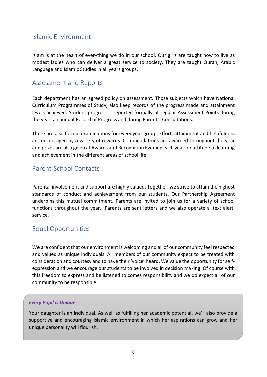## <span id="page-8-0"></span>Islamic Environment

Islam is at the heart of everything we do in our school. Our girls are taught how to live as modest ladies who can deliver a great service to society. They are taught Quran, Arabic Language and Islamic Studies in all years groups.

# <span id="page-8-1"></span>Assessment and Reports

Each department has an agreed policy on assessment. Those subjects which have National Curriculum Programmes of Study, also keep records of the progress made and attainment levels achieved. Student progress is reported formally at regular Assessment Points during the year, an annual Record of Progress and during Parents' Consultations.

There are also formal examinations for every year group. Effort, attainment and helpfulness are encouraged by a variety of rewards. Commendations are awarded throughout the year and prizes are also given at Awards and Recognition Evening each year for attitude to learning and achievement in the different areas of school life.

# <span id="page-8-2"></span>Parent-School Contacts

Parental involvement and support are highly valued. Together, we strive to attain the highest standards of conduct and achievement from our students. Our Partnership Agreement underpins this mutual commitment. Parents are invited to join us for a variety of school functions throughout the year. Parents are sent letters and we also operate a 'text alert' service.

# <span id="page-8-3"></span>Equal Opportunities

We are confident that our environment is welcoming and all of our community feel respected and valued as unique individuals. All members of our community expect to be treated with consideration and courtesy and to have their 'voice' heard. We value the opportunity for selfexpression and we encourage our students to be involved in decision making. Of course with this freedom to express and be listened to comes responsibility and we do expect all of our community to be responsible.

#### *Every Pupil is Unique*

Your daughter is an individual. As well as fulfilling her academic potential, we'll also provide a supportive and encouraging Islamic environment in which her aspirations can grow and her unique personality will flourish.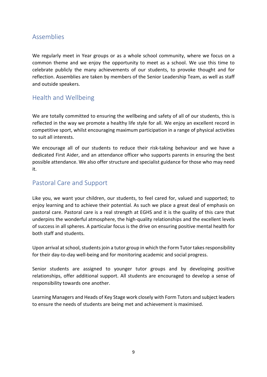## <span id="page-9-0"></span>Assemblies

We regularly meet in Year groups or as a whole school community, where we focus on a common theme and we enjoy the opportunity to meet as a school. We use this time to celebrate publicly the many achievements of our students, to provoke thought and for reflection. Assemblies are taken by members of the Senior Leadership Team, as well as staff and outside speakers.

# <span id="page-9-1"></span>Health and Wellbeing

We are totally committed to ensuring the wellbeing and safety of all of our students, this is reflected in the way we promote a healthy life style for all. We enjoy an excellent record in competitive sport, whilst encouraging maximum participation in a range of physical activities to suit all interests.

We encourage all of our students to reduce their risk-taking behaviour and we have a dedicated First Aider, and an attendance officer who supports parents in ensuring the best possible attendance. We also offer structure and specialist guidance for those who may need it.

# <span id="page-9-2"></span>Pastoral Care and Support

Like you, we want your children, our students, to feel cared for, valued and supported; to enjoy learning and to achieve their potential. As such we place a great deal of emphasis on pastoral care. Pastoral care is a real strength at EGHS and it is the quality of this care that underpins the wonderful atmosphere, the high-quality relationships and the excellent levels of success in all spheres. A particular focus is the drive on ensuring positive mental health for both staff and students.

Upon arrival at school, students join a tutor group in which the Form Tutor takes responsibility for their day-to-day well-being and for monitoring academic and social progress.

Senior students are assigned to younger tutor groups and by developing positive relationships, offer additional support. All students are encouraged to develop a sense of responsibility towards one another.

Learning Managers and Heads of Key Stage work closely with Form Tutors and subject leaders to ensure the needs of students are being met and achievement is maximised.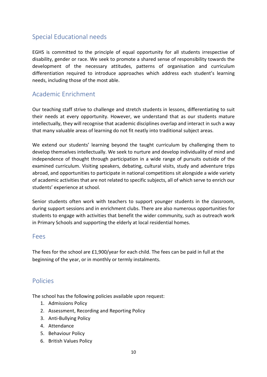# <span id="page-10-0"></span>Special Educational needs

EGHS is committed to the principle of equal opportunity for all students irrespective of disability, gender or race. We seek to promote a shared sense of responsibility towards the development of the necessary attitudes, patterns of organisation and curriculum differentiation required to introduce approaches which address each student's learning needs, including those of the most able.

# <span id="page-10-1"></span>Academic Enrichment

Our teaching staff strive to challenge and stretch students in lessons, differentiating to suit their needs at every opportunity. However, we understand that as our students mature intellectually, they will recognise that academic disciplines overlap and interact in such a way that many valuable areas of learning do not fit neatly into traditional subject areas.

We extend our students' learning beyond the taught curriculum by challenging them to develop themselves intellectually. We seek to nurture and develop individuality of mind and independence of thought through participation in a wide range of pursuits outside of the examined curriculum. Visiting speakers, debating, cultural visits, study and adventure trips abroad, and opportunities to participate in national competitions sit alongside a wide variety of academic activities that are not related to specific subjects, all of which serve to enrich our students' experience at school.

Senior students often work with teachers to support younger students in the classroom, during support sessions and in enrichment clubs. There are also numerous opportunities for students to engage with activities that benefit the wider community, such as outreach work in Primary Schools and supporting the elderly at local residential homes.

#### <span id="page-10-2"></span>Fees

The fees for the school are £1,900/year for each child. The fees can be paid in full at the beginning of the year, or in monthly or termly instalments.

# <span id="page-10-3"></span>Policies

The school has the following policies available upon request:

- 1. Admissions Policy
- 2. Assessment, Recording and Reporting Policy
- 3. Anti-Bullying Policy
- 4. Attendance
- 5. Behaviour Policy
- 6. British Values Policy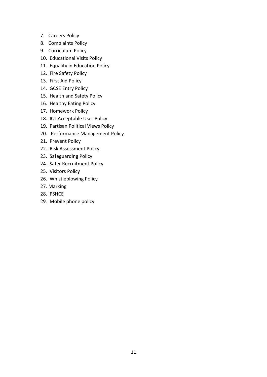- 7. Careers Policy
- 8. Complaints Policy
- 9. Curriculum Policy
- 10. Educational Visits Policy
- 11. Equality in Education Policy
- 12. Fire Safety Policy
- 13. First Aid Policy
- 14. GCSE Entry Policy
- 15. Health and Safety Policy
- 16. Healthy Eating Policy
- 17. Homework Policy
- 18. ICT Acceptable User Policy
- 19. Partisan Political Views Policy
- 20. Performance Management Policy
- 21. Prevent Policy
- 22. Risk Assessment Policy
- 23. Safeguarding Policy
- 24. Safer Recruitment Policy
- 25. Visitors Policy
- 26. Whistleblowing Policy
- 27. Marking
- 28. PSHCE
- 29. Mobile phone policy